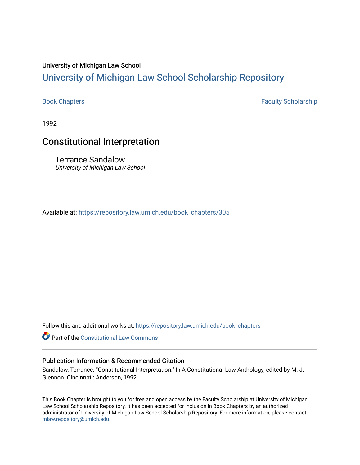### University of Michigan Law School

### [University of Michigan Law School Scholarship Repository](https://repository.law.umich.edu/)

[Book Chapters](https://repository.law.umich.edu/book_chapters) Faculty Scholarship

1992

## Constitutional Interpretation

Terrance Sandalow University of Michigan Law School

Available at: [https://repository.law.umich.edu/book\\_chapters/305](https://repository.law.umich.edu/book_chapters/305) 

Follow this and additional works at: [https://repository.law.umich.edu/book\\_chapters](https://repository.law.umich.edu/book_chapters?utm_source=repository.law.umich.edu%2Fbook_chapters%2F305&utm_medium=PDF&utm_campaign=PDFCoverPages)

**Part of the Constitutional Law Commons** 

### Publication Information & Recommended Citation

Sandalow, Terrance. "Constitutional Interpretation." In A Constitutional Law Anthology, edited by M. J. Glennon. Cincinnati: Anderson, 1992.

This Book Chapter is brought to you for free and open access by the Faculty Scholarship at University of Michigan Law School Scholarship Repository. It has been accepted for inclusion in Book Chapters by an authorized administrator of University of Michigan Law School Scholarship Repository. For more information, please contact [mlaw.repository@umich.edu.](mailto:mlaw.repository@umich.edu)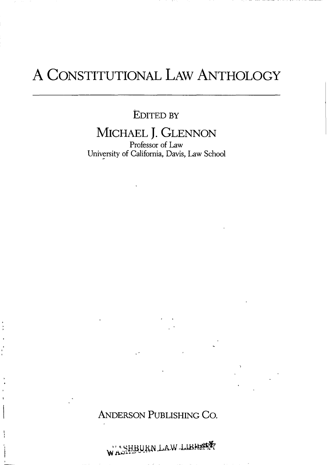# A CONSTITUTIONAL LAW ANTHOLOGY

EDITED BY

MICHAEL J. GLENNON

Professor of Law University of California, Davis, Law School

# ANDERSON PUBLISHING Co.

 $\mathcal{L}^{(1)}$  .

# WASHBURN LAW LIBRARY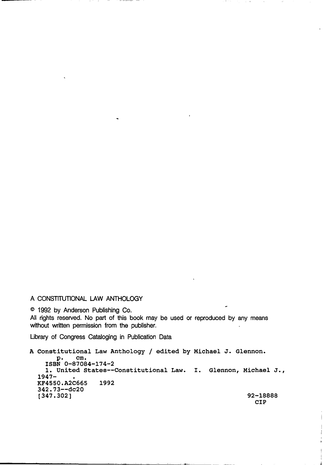### A CONSTITUTIONAL LAW ANTHOLOGY

© 1992 by Anderson Publishing Co. All rights reserved. No part of this book may be used or reproduced by any means without written permission from the publisher.

Library of Congress Cataloging in Publication Data

**A Constitutional Law Anthology/ edited by Michael J. Glennon. p. cm. ISBN** 0-87084-174-2 1. United States--Constitutional Law. I. Glennon, Michael J., 1947- KF4550.A2C665 1992 342.73--dc20 [347.302] 92-18888 CIP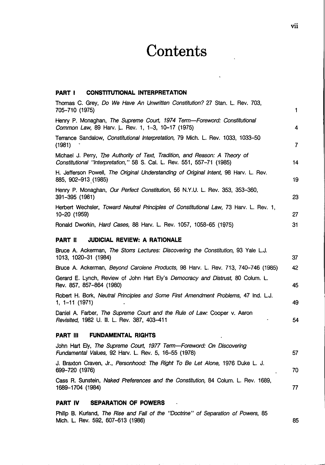# **Contents**

#### **PART I** CONSTITUTIONAL INTERPRETATION

| Thomas C. Grey, Do We Have An Unwritten Constitution? 27 Stan. L. Rev. 703,<br>705–710 (1975)                                                         | 1                        |
|-------------------------------------------------------------------------------------------------------------------------------------------------------|--------------------------|
| Henry P. Monaghan, The Supreme Court, 1974 Term-Foreword: Constitutional<br>Common Law, 89 Harv. L. Rev. 1, 1-3, 10-17 (1975)                         | 4                        |
| Terrance Sandalow, Constitutional Interpretation, 79 Mich. L. Rev. 1033, 1033-50<br>(1981)                                                            | $\overline{\mathcal{L}}$ |
| Michael J. Perry, The Authority of Text, Tradition, and Reason: A Theory of<br>Constitutional "Interpretation," 58 S. Cal. L. Rev. 551, 557-71 (1985) | 14                       |
| H. Jefferson Powell, The Original Understanding of Original Intent, 98 Harv. L. Rev.<br>885, 902-913 (1985)                                           | 19                       |
| Henry P. Monaghan, <i>Our Perfect Constitution</i> , 56 N.Y.U. L. Rev. 353, 353-360,<br>391-395 (1981)                                                | 23                       |
| Herbert Wechsler, Toward Neutral Principles of Constitutional Law, 73 Harv. L. Rev. 1,<br>10-20 (1959)                                                | 27                       |
| Ronald Dworkin, <i>Hard Cases</i> , 88 Harv. L. Rev. 1057, 1058-65 (1975)                                                                             | 31                       |
| PART II<br>JUDICIAL REVIEW: A RATIONALE                                                                                                               |                          |
| Bruce A. Ackerman, The Storrs Lectures: Discovering the Constitution, 93 Yale L.J.<br>1013, 1020-31 (1984)                                            | 37                       |
| Bruce A. Ackerman, Beyond Carolene Products, 98 Harv. L. Rev. 713, 740-746 (1985)                                                                     | 42                       |
| Gerard E. Lynch, Review of John Hart Ely's <i>Democracy and Distrust</i> , 80 Colum. L.<br>Rev. 857, 857-864 (1980)                                   | 45                       |
| Robert H. Bork, Neutral Principles and Some First Amendment Problems, 47 Ind. L.J.<br>1, 1–11 (1971)                                                  | 49                       |
| Daniel A. Farber, The Supreme Court and the Rule of Law: Cooper v. Aaron<br>Revisited, 1982 U. III. L. Rev. 387, 403-411                              | 54                       |
| PART III<br><b>FUNDAMENTAL RIGHTS</b>                                                                                                                 |                          |
| John Hart Ely, The Supreme Court, 1977 Term-Foreword: On Discovering<br>Fundamental Values, 92 Harv. L. Rev. 5, 16-55 (1978)                          | 57                       |
| J. Braxton Craven, Jr., Personhood: The Right To Be Let Alone, 1976 Duke L. J.<br>699-720 (1976)                                                      | 70                       |
| Cass R. Sunstein, Naked Preferences and the Constitution, 84 Colum. L. Rev. 1689,<br>1689-1704 (1984)                                                 | 77                       |
|                                                                                                                                                       |                          |

#### **PART IV SEPARATION OF POWERS**

Philip B. Kurland, The Rise and Fall of the "Doctrine" of Separation of Powers, 85 Mich. L. Rev. 592, 607–613 (1986) 85

 $\ddot{\phantom{a}}$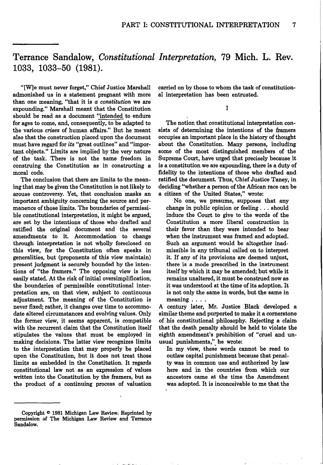### Terrance Sandalow, *Constitutional Interpretation,* 79 Mich. L. Rev. 1033, 1033-50 (1981).

"[W]e must never forget," Chief Justice Marshall admonished us in a statement pregnant with more than one meaning, "that it is *a constitution* we are expounding." Marshall meant that the Constitution should be read as a document "intended to endure for ages to come, and, consequently, to be adapted to the various *crises* of human affairs." But he meant also that the construction placed upon the document must have regard for *its* "great outlines" and "important objects." Limits are implied by the very nature of the task. There is not the same freedom in construing the Constitution as in constructing a moral code.

The conclusion that there are limits to the meaning that may be given the Constitution is not likely to arouse controversy. Yet, that conclusion masks an important ambiguity concerning the source and permanence of those limits. The boundaries of permissible constitutional interpretation, it might be argued, are set by the intentions of those who drafted and ratified the original document and the several amendments to it. Accommodation to change through interpretation is not wholly foreclosed on this view, for the Constitution often speaks in generalities, but (proponents of this view maintain) present judgment is securely bounded by the intentions of "the framers." The opposing view is less easily stated. At the risk of initial oversimplification, the boundaries of permissible constitutional interpretation are, on that view, subject to continuous adjustment. The meaning of the Constitution is never fixed; rather, it changes over time to accommodate altered circumstances and evolving values. Only the former view, it seems apparent, is compatible with the recurrent claim that the Constitution itself stipulates the values that must be employed in making decisions. The latter view recognizes limits to the interpretation that may properly be placed upon the Constitution, but it does not treat those limits as embedded in the Constitution. It regards constitutional law not as an expression of values written into the Constitution by the framers, but as the product of a continuing process of valuation

Copyright © 1981 Michigan Law Review. Reprinted by permission of The Michigan Law Review and Terrance Sandalow.

carried on by those to whom the task of constitutional interpretation has been entrusted.

I

The notion that constitutional interpretation consists of determining the intentions of the framers occupies an important place in the history of thought about the Constitution. Many persons, including some of the most distinguished members of the Supreme Court, have urged that precisely because it is a constitution we are expounding, there is a duty of fidelity to the intentions of those who drafted and ratified the document. Thus, Chief Justice Taney, in deciding "whether a person of the African race can be a citizen of the United States," wrote:

No one, we presume, supposes that any change in public opinion or feeling . . . should induce the Court to give to the words of the Constitution a more liberal construction in their favor than they were intended to bear when the instrument was framed and adopted. Such an argument would be altogether inadmissible in any tribunal called on to interpret it. If any of its provisions are deemed unjust, there is a mode prescribed in the instrument itself by which it may be amended; but while it remains unaltered, it must be construed now as it was understood at the time of its adoption. It is not only the same in words, but the same in meaning . . . .

A century later, Mr. Justice Black developed a similar theme and purported to make it a cornerstone of his constitutional philosophy. Rejecting a claim that the death penalty should be held to violate the eighth amendment's prohibition of "cruel and unusual punishments," he wrote:

In my view, these words cannot be read to outlaw capital punishment because that penalty was in common use and authorized by law here and in the countries from which our ancestors came at the time the Amendment was adopted. It is inconceivable to me that the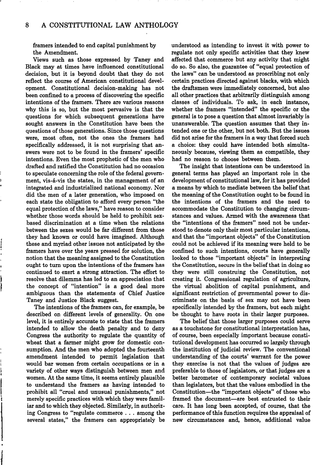framers intended to end capital punishment by the Amendment.

Views such as those expressed by Taney and Black may at times have influenced constitutional decision, but it is beyond doubt that they do not reflect the course of American constitutional development. Constitutional decision-making has not been confined to a process of discovering the specific intentions of the framers. There are various reasons why this is so, but the most pervasive is that the questions for which subsequent generations have sought answers in the Constitution have been the questions of those generations. Since those questions were, most often, not the ones the framers had specifically addressed, it is not surprising that answers were not to be found in the framers' specific intentions. Even the most prophetic of the men who drafted and ratified the Constitution had no occasion to speculate concerning the role of the federal government, vis-á-vis the states, in the management of an integrated and industrialized national economy. Nor did the men of a later generation, who imposed on each state the obligation to afford every person "the equal protection of the laws," have reason to consider whether those words should be held to prohibit sexbased discrimination at a time when the relations between the sexes would be far different from those they had known or could have imagined. Although these and myriad other issues not anticipated by the framers have over the years pressed for solution, the notion that the meaning assigned to the Constitution ought to turn upon the intentions of the framers has continued to exert a strong attraction. The effort to resolve that dilemma has led to an appreciation that the concept of "intention" is a good deal more ambiguous than the statements of Chief Justice Taney and Justice Black suggest.

The intentions of the framers can, for example, be described on different levels of generality. On one level, it is entirely accurate to state that the framers intended to allow the death penalty and to deny Congress the authority to regulate the quantity of wheat that a farmer might grow for domestic consumption. And the men who adopted the fourteenth amendment intended to permit legislation that would bar women from certain occupations or in a variety of other ways distinguish between men and women. At the same time, it seems entirely plausible to understand the framers as having intended to prohibit all "cruel and unusual punishments," not merely specific practices with which they were familiar and to which they objected. Similarly, in authorizing Congress to "regulate commerce . . . among the several states," the framers can appropriately be

1

understood as intending to invest it with power to regulate not only specific activities that they knew affected that commerce but any activity that might do so. So also, the guarantee of "equal protection of the laws" can be understood as proscribing not only certain practices directed against blacks, with which the draftsmen were immediately concerned, but also all other practices that arbitrarily distinguish among classes of individuals. To ask, in each instance, whether the framers "intended" the specific or the general is to pose a question that almost invariably is unanswerable. The question assumes that they intended one or the other, but not both. But the issues did not arise for the framers in a way that forced such a choice: they could have intended both simultaneously because, viewing them as compatible, they had no reason to choose between them.

The insight that intentions can be understood in general terms has played an important role in the development of constitutional law, for it has provided a means by which to mediate between the belief that the meaning of the Constitution ought to be found in the intentions of the framers and the need to accommodate the Constitution to changing circumstances and values. Armed with the awareness that the "intentions of the framers" need not be understood to denote only their most particular intentions, and that the "important objects" of the Constitution could not be achieved if its meaning were held to be confined to such intentions, courts have generally looked to those "important objects" in interpreting the Constitution, secure in the belief that in doing so they were still construing the Constitution, not creating it. Congressional regulation of agriculture, the virtual abolition of capital punishment, and significant restriction of governmental power to discriminate on the basis of sex may not have been specifically intended by the framers, but each might be thought to have roots in their larger purposes.

The belief that those larger purposes could serve as a touchstone for constitutional interpretation has, of course, been especially important because constitutional development has occurred so largely through the institution of judicial review. The conventional understanding of the courts' warrant for the power they exercise is not that the values of judges are preferable to those of legislators, or that judges are a better barometer of contemporary societal values than legislators, but that the values embodied in the Constitution-the "important objects" of those who framed the document-are best entrusted to their care. It has long been accepted, of course, that the performance of this function requires the appraisal of new circumstances and, hence, additional value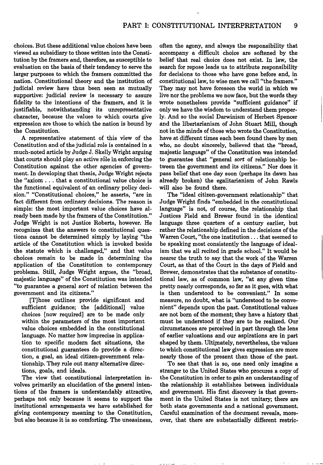choices. But these additional value choices have been viewed as subsidiary to those written into the Constitution by the framers and, therefore, as susceptible to evaluation on the basis of their tendency to serve the larger purposes to which the framers committed the nation. Constitutional theory and the institution of judicial review have thus been seen as mutually supportive: judicial review is necessary to assure fidelity to the intentions of the framers, and it is justifiable, notwithstanding its unrepresentative character, because the values to which courts give expression are those to which the nation is bound by the Constitution.

A representative statement of this view of the Constitution and of the judicial role is contained in a much-noted article by Judge J. Skelly Wright arguing that courts should play an active role in enforcing the Constitution against the other agencies of government. In developing that thesis, Judge Wright rejects the "axiom ... that a constitutional value choice is the functional equivalent of an ordinary policy decision." "Constitutional choices," he asserts, "are in fact different from ordinary decisions. The reason is simple: the most important value choices have already been made by the framers of the Constitution." Judge Wright is not Justice Roberts, however. He recognizes that the answers to constitutional questions cannot be determined simply by laying "the article of the Constitution which is invoked beside the statute which is challenged," and that value choices remain to be made in determining the application of the Constitution to contemporary problems. Still, Judge Wright argues, the "broad, majestic language" of the Constitution was intended "to guarantee a general *sort* of relation between the government and its citizens."

[T]hose outlines provide significant and sufficient guidance; the [additional] value choices [now required] are to be made only within the parameters of the most important value choices embedded in the constitutional language. No matter how imprecise in application to specific modern fact situations, the constitutional guarantees do provide a direction, a goal, an ideal citizen-government relationship. They rule out many alternative directions, goals, and ideals.

The view that constitutional interpretation involves primarily an elucidation of the general intentions of the framers is understandably attractive, perhaps not only because it seems to support the institutional arrangements we have established for giving contemporary meaning to the Constitution, but also because it is so comforting. The uneasiness,

often the agony, and always the responsibility that accompany a difficult choice are softened by the belief that real choice does not exist. In law, the search for repose leads us to attribute responsibility for decisions to those who have gone before and, in constitutional law, to wise men we call "the framers." They may not have foreseen the world in which we live nor the problems we now face, but the words they wrote nonetheless provide "sufficient guidance" if only we have the wisdom to understand them properly. And so the social Darwinism of Herbert Spencer and the libertarianism of John Stuart Mill, though not in the minds of those who wrote the Constitution, have at different times each been found there by men who, no doubt sincerely, believed that the "broad, majestic language" of the Constitution was intended to guarantee that "general *sort* of relationship between the government and its citizens." Nor does it pass belief that one day soon (perhaps its dawn has already broken) the egalitarianism of John Rawls will also be found there.

The "ideal citizen-government relationship" that Judge Wright finds "embedded in the constitutional language" is not, of course, the relationship that Justices Field and Brewer found in the identical language three quarters of a century earlier, but rather the relationship defined in the decisions of the Warren Court, "the one institution ... that seemed to be speaking most consistently the language of idealism that we all recited in grade school." It would be nearer the truth to say that the work of the Warren Court, as that of the Court in the days of Field and Brewer, demonstrates that the substance of constitutional law, as of common law, "at any given time pretty nearly corresponds, so far as it goes, with what is then understood to be convenient." In some measure, no doubt, what is "understood to be convenient" depends upon the past. Constitutional values are not born of the moment; they have a history that must be understood if they are to be realized. Our circumstances are perceived in part through the lens of earlier valuations and our aspirations are in part shaped by them. Ultimately, nevertheless, the values to which constitutional law gives expression are more nearly those of the present than those of the past.

To see that that is so, one need only imagine a stranger to the United States who procures a copy of the Constitution in order to gain an understanding of the relationship it establishes between individuals and government. His first discovery is that government in the United States is not unitary; there are both state governments and a national government. Careful examination of the document reveals, moreover, that there are substantially different restric-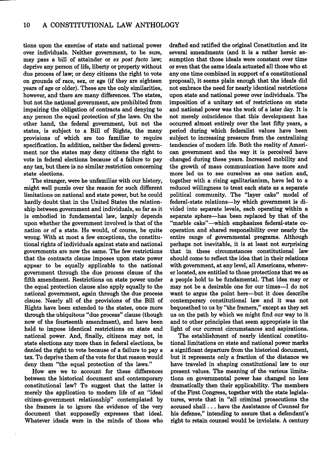tions upon the exercise of state and national power over individuals. Neither government, to be sure, may pass a bill of attainder or *ex post facto* law; deprive any person of life, liberty or property without due process of law; or deny citizens the right to vote on grounds of race, sex, or age (if they are eighteen years of age or older). These are the only similarities, however, and there are many differences. The states, but not the national government, are prohibited from impairing the obligation of contracts and denying to any person the equal protection of the laws. On the other hand, the federal government, but not the states, is subject to a Bill of Rights, the many provisions of which are too familiar to require specification. In addition, neither the federal government nor the states may deny citizens the right to vote in federal elections because of a failure to pay any tax, but there is no similar restriction concerning state elections.

The stranger, were he unfamiliar with our history, might well puzzle over the reason for such different limitations on national and state power, but he could hardly doubt that in the United States the relationship between government and individuals, so far as it is embodied in fundamental law, largely depends upon whether the government involved is that of the nation or of a state. He would, of course, be quite wrong. With at most a few exceptions, the constitutional rights of individuals against state and national governments are now the same. The few restrictions that the contracts clause imposes upon state power appear to be equally applicable to the national government through the due process clause of the fifth amendment. Restrictions on state power under the equal protection clause also apply equally to the national government, again through the due process clause. Nearly all of the provisions of the Bill of Rights have been extended to the states, once more through the ubiquitous "due process" clause (though now of the fourteenth amendment), and have been held to impose identical restrictions on state and national power. And, finally, citizens may not, in state elections any more than in federal elections, be denied the right to vote because of a failure to pay a tax. To deprive them of the vote for that reason would deny them "the equal protection of the laws."

How are we to account for these differences between the historical document and contemporary constitutional law? To suggest that the latter is merely the application to modem life of an "ideal citizen-government relationship" contemplated by the framers is to ignore the evidence of the very document that supposedly expresses that ideal. Whatever ideals were in the minds of those who

drafted and ratified the original Constitution and its several amendments (and it is a rather heroic assumption that those ideals were constant over time or even that the same ideals actuated all those who at any one time combined in support of a constitutional proposal), it seems plain enough that the ideals did not embrace the need for nearly identical restrictions upon state and national power over individuals. The imposition of a unitary set of restrictions on state and national power was the work of a later day. It is not merely coincidence that this development has occurred almost entirely over the last fifty years, a period during which federalist values have been subject to increasing pressure from the centralizing tendencies of modern life. Both the reality of American government and the way it is perceived have changed during these years. Increased mobility and the growth of mass communication have more and more led us to see ourselves as one nation and, together with a rising egalitarianism, have led to a reduced willingness to treat each state as a separate political community. The "layer cake" model of federal-state relations-by which government is divided into separate levels, each operating within a separate sphere-has been replaced by that of the "marble cake"-which emphasizes federal-state cooperation and shared responsibility over nearly the entire range of governmental programs. Although perhaps not inevitable, it is at least not surprising that in these circumstances constitutional law should come to reflect the idea that in their relations with government, at any level, all Americans, wherever located, are entitled to those protections that we as a people hold to be fundamental. That idea may or may not be a desirable one for our times-I do not want to argue the point here—but it does describe contemporary constitutional law and it was not bequeathed to us by "the framers," except as they set us on the path by which we might find our way to it and to other principles that seem appropriate in the light of our current circumstances and aspirations.

The establishment of nearly identical constitutional limitations on state and national power marks a significant departure from the historical document, but it represents only a fraction of the distance we have traveled in shaping constitutional law to our present values. The meaning of the various limitations on governmental power has changed no less dramatically then their applicability. The members of the First Congress, together with the state legislatures, wrote that in "all criminal prosecutions the accused shall ... have the Assistance of Counsel for his defense," intending to assure that a defendant's right to retain counsel would be inviolate. A century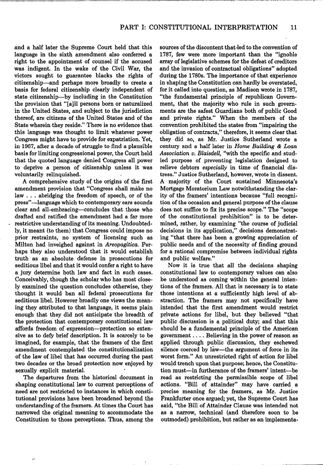and a half later the Supreme Court held that this language in the sixth amendment also conferred a right to the appointment of counsel if the accused was indigent. In the wake of the Civil War, the victors sought to guarantee blacks the rights of citizenship-and perhaps more broadly to create a basis for federal citizenship clearly independent of state citizenship-by including in the Constitution the provision that "[a]ll persons born or naturalized in the United States, and subject to the jurisdiction thereof, are citizens of the United States and of the State wherein they reside." There is no evidence that this language was thought to limit whatever power Congress might have to provide for expatriation. Yet, in 1967, after a decade of struggle to find a plausible basis for limiting congressional power, the Court held that the quoted language denied Congress all power to deprive a person of citizenship unless it was voluntarily relinquished.

A comprehensive study of the origins of the first amendment provision that "Congress shall make no law . . . abridging the freedom of speech, or of the press" -language which to contemporary ears sounds clear and all-embracing-concludes that those who drafted and ratified the amendment had a far more restrictive understanding of its meaning. Undoubtedly, it meant (to them) that Congress could impose no prior restraints, no system of licensing such as Milton had inveighed against in *Areopagitica.* Perhaps they also understood that it would establish truth as an absolute defense in prosecutions for seditious libel and that it would confer a right to have a jury determine both law and fact in such cases. Conceivably, though the scholar who has most closely examined the question concludes otherwise, they thought it would ban all federal prosecutions for seditious libel. However broadly one views the meaning they attributed to that language, it seems plain enough that they did not anticipate the breadth of the protection that contemporary constitutional law affords freedom of expression--protection so extensive as to defy brief description. It is scarcely to be imagined, for example, that the framers of the first amendment contemplated the constitutionalization of the law of libel that has occurred during the past two decades or the broad protection now enjoyed by sexually explicit material.

The departures from the historical document in shaping constitutional law to current perceptions of need are not restricted to instances in which constitutional provisions have been broadened beyond the understanding of the framers. At times the Court has narrowed the original meaning to accommodate the Constitution to those perceptions. Thus, among the

sources of the discontent that-led to the convention of 1787, few were more important than the "ignoble array of legislative schemes for the defeat of creditors and the invasion of contractual obligations" adopted during the 1780s. The importance of that experience in shaping the Constitution can hardly be overstated, for it called into question, as Madison wrote in 1787, "the fundamental principle of republican Government, that the majority who rule in such governments are the safest Guardians both of public Good and private rights." When the members of the convention prohibited the states from "impairing the obligation of contracts," therefore, it seems clear that they did so, as Mr. Justice Sutherland wrote a century and a half later in *Home Building* & *Loan Association v. Blaisdell,* "with the specific and studied purpose of preventing legislation designed to relieve debtors *especially* in time of financial distress." Justice Sutherland, however, wrote in dissent. A majority of the Court sustained Minnesota's Mortgage Moratorium Law notwithstanding the clarity of the framers' intentions because "full recognition of the occasion and general purpose of the clause does not suffice to fix its precise scope." The "scope of the constitutional prohibition" is to be determined, rather, by examining "the course of judicial decisions in its application," decisions demonstrating "that there has been a growing appreciation of public needs and of the necessity of finding ground for a rational compromise between individual rights and public welfare."

Now it is true that all the decisions shaping constitutional law to contemporary values can also be understood as coming within the general intentions of the framers. All that is necessary is to state those intentions at a sufficiently high level of abstraction. The framers may not specifically have intended that the first amendment would restrict private actions for libel, but they believed "that public discussion is a political duty; and that this should be a fundamental principle of the American government .... Believing in the power of reason as applied through public discussion, they eschewed silence coerced by law—the argument of force in its worst form." An unrestricted right of action for libel would trench upon that purpose; hence, the Constitution must-in furtherance of the framers' intent-be read as restricting the permissible scope of libel actions. "Bill of attainder" may have carried a precise meaning for the framers, as Mr. Justice Frankfurter once argued; yet, the Supreme Court has said, "the Bill of Attainder Clause was intended not as a narrow, technical (and therefore soon to be outmoded) prohibition, but rather as an implementa-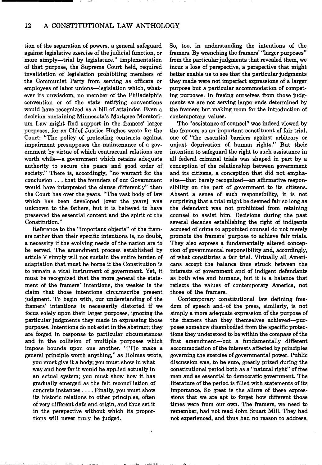tion of the separation of powers, a general safeguard against legislative exercise of the judicial function, or more simply-trial by legislature." Implementation of that purpose, the Supreme Court held, required invalidation of legislation prohibiting members of the Communist Party from serving as officers or employees of labor unions-legislation which, whatever its unwisdom, no member of the Philadelphia convention or of the state ratifying conventions would have recognized as a bill of attainder. Even a decision sustaining Minnesota's Mortgage Moratorium Law might find support in the framers' larger purposes, for as Chief Justice Hughes wrote for the Court: "The policy of protecting contracts against impairment presupposes the maintenance of a government by virtue of which contractual relations are worth while-a government which retains adequate authority to secure the peace and good order of society." There is, accordingly, "no warrant for the conclusion ... that the founders of our Government would have interpreted the clause differently" than the Court has over the years. "The vast body of law which has been developed [over the years] was unknown to the fathers, but it is believed to have preserved the essential content and the spirit of the Constitution."

Reference to the "important objects" of the framers rather than their specific intentions is, no doubt, a necessity if the evolving needs of the nation are to be served. The amendment process established by article V simply will not sustain the entire burden of adaptation that must be borne if the Constitution is to remain a vital instrument of government. Yet, it must be recognized that the more general the statement of the framers' intentions, the weaker is the claim that those intentions circumscribe present judgment. To begin with, our understanding of the framers' intentions is necessarily distorted if we focus solely upon their larger purposes, ignoring the particular judgments they made in expressing those purposes. Intentions do not exist in the abstract; they are forged in response to particular circumstances and in the collision of multiple purposes which impose bounds upon one another. "[T]o make a general principle worth anything," as Holmes wrote,

you must give it a body; you must show in what way and how far it would be applied actually in an actual system; you must show how it has gradually emerged as the felt reconciliation of concrete instances .... Finally, you must show its historic relations to other principles, often of very different date and origin, and thus set it in the perspective without which its proportions will never truly be judged.

So, too, in understanding the intentions of the framers. By wrenching the framers' "larger purposes" from the particular judgments that revealed them, we incur a loss of perspective, a perspective that might better enable us to see that the particular judgments they made were not imperfect expressions of a larger purpose but a particular accommodation of competing purposes. In freeing ourselves from those judgments we are not serving larger ends determined by the framers but making room for the introduction of contemporary values.

The "assistance of counsel" was indeed viewed by the framers as an important constituent of fair trial, one of "the essential barriers against arbitrary or unjust deprivation of human rights." But their intention to safeguard the right to such assistance in all federal criminal trials was shaped in part by a conception of the relationship between government and its citizens, a conception that did not emphasize-that barely recognized-an affirmative responsibility on the part of government to its citizens. Absent a sense of such responsibility, it is not surprising that a trial might be deemed fair so long as the defendant was not prohibited from retaining counsel to assist him. Decisions during the past several decades establishing the right of indigents accused of crime to appointed counsel do not merely promote the framers' purpose to achieve fair trials. They also express a fundamentally altered conception of governmental responsibility and, accordingly, of what constitutes a fair trial. Virtually all Americans accept the balance thus struck between the interests of government and of indigent defendants as both wise and humane, but it is a balance that reflects the values of contemporary America, not those of the framers.

Contemporary constitutional law defining freedom of speech and-of the press, similarly, is not simply a more adequate expression of the purpose of the framers than they themselves achieved-purposes somehow disembodied from the specific protections they understood to be within the compass of the first amendment-but a fundamentally different accommodation of the interests affected by principles governing the exercise of governmental power. Public discussion was, to be sure, greatly prized during the constitutional period both as a "natural right" of free men and as essential to democratic government. The literature of the period is filled with statements of its importance. So great is the allure of these expressions that we are apt to forget how different those times were from our own. The framers, we need to remember, had not read John Stuart Mill. They had not experienced, and thus had no reason to address,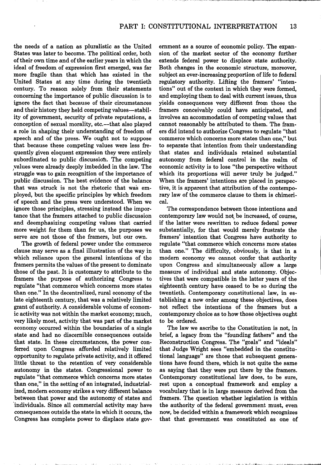the needs of a nation as pluralistic as the United States was later to become. The political order, both of their own time and of the earlier years in which the ideal of freedom of expression first emerged, was far more fragile than that which has existed in the United States at any time during the twentieth century. To reason solely from their statements concerning the importance of public discussion is to ignore the fact that because of their circumstances and their history they held competing values-stability of government, security of private reputations, a conception of sexual morality, etc.-that also played a role in shaping their understanding of freedom of speech and of the press. We ought not to suppose that because these competing values were less frequently given eloquent expression they were entirely subordinated to public discussion. The competing ,values were already deeply imbedded in the law. The struggle was to gain recognition of the importance of public discussion. The best evidence of the balance that was struck is not the rhetoric that was employed, but the specific principles by which freedom of speech and the press were understood. When we ignore those principles, stressing instead the importance that the framers attached to public discussion and deemphasizing competing values that carried more weight for them than for us, the purposes we serve are not those of the framers, but our own.

The growth of federal power under the commerce clause may serve as a final illustration of the way in which reliance upon the general intentions of the framers permits the values of the present to dominate those of the past. It is customary to attribute to the framers the purpose of authorizing Congress to regulate "that commerce which concerns more states than one." In the decentralized, rural economy of the late eighteenth century, that was a relatively limited grant of authority. A considerable volume of economic activity was not within the market economy; much, very likely most, activity that was part of the market economy occurred within the boundaries of a single state and had no discernible consequences outside that state. In these circumstances, the power conferred upon Congress afforded relatively limited opportunity to regulate private activity, and it offered little threat to the retention of very considerable autonomy in the states. Congressional power to regulate "that commerce which concerns more states than one," in the setting of an integrated, industrialized, modem economy strikes a very different balance between that power and the autonomy of states and 'individuals. Since all commercial activity may have consequences outside the state in which it occurs, the Congress has complete power to displace state government as a source of economic policy. The expansion of the market sector of the economy further extends federal power to displace state authority. Both changes in the economic structure, moreover, subject an ever-increasing proportion of life to federal regulatory authority. Lifting the framers' "intentions" out of the context in which they were formed, and employing them to deal with current issues, thus yields consequences very different from those the framers conceivably could have anticipated, and involves an accommodation of competing values that cannot reasonably be attributed to them. The framers did intend to authorize Congress to regulate "that commerce which concerns more states than one," but to separate that intention from their understanding that states and individuals retained substantial autonomy from federal control in the realm of economic activity is to lose "the perspective without which its proportions will never truly be judged." When the framers' intentions are placed in perspective, it is apparent that attribution of the contemporary law of the commerce clause to them is chimerical.

The correspondence between those intentions and contemporary law would not be increased, of course, if the latter were rewritten to reduce federal power substantially, for that would merely frustrate the framers' intention that Congress have authority to regulate "that commerce which concerns more states than one." The difficulty, obviously, is that in a modem economy we cannot confer that authority upon Congress and simultaneously allow a large measure of individual and state autonomy. Objectives that were compatible in the latter years of the eighteenth century have ceased to be so during the twentieth. Contemporary constitutional law, in establishing a new order among these objectives, does not reflect the intentions of the framers but a contemporary choice as to how those objectives ought to be ordered.

The law we ascribe to the Constitution is not, in brief, a legacy from the "founding fathers" and the Reconstruction Congress. The "goals" and "ideals" that Judge Wright sees "embedded in the constitutional language" are those that subsequent generations have found there, which is not quite the same as saying that they were put there by the framers. Contemporary constitutional law does, to be sure, rest upon a conceptual framework and employ a vocabulary that is in large measure derived from the framers. The question whether legislation is within the authority of the federal government must, even now, be decided within a framework which recognizes that that government was constituted as one of